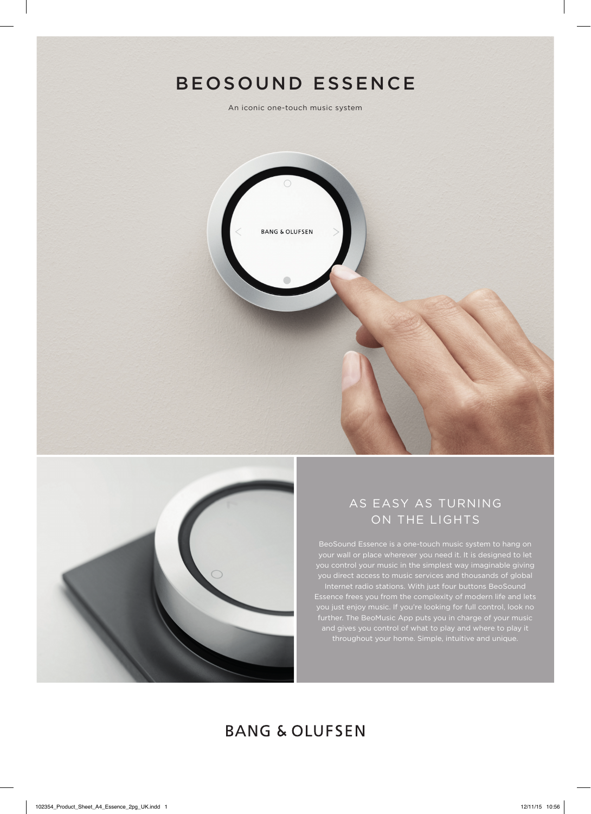# BEOSOUND ESSENCE

An iconic one-touch music system





## AS EASY AS TURNING ON THE LIGHTS

you control your music in the simplest way imaginable giving Internet radio stations. With just four buttons BeoSound Essence frees you from the complexity of modern life and lets you just enjoy music. If you're looking for full control, look no further. The BeoMusic App puts you in charge of your music

## **BANG & OLUFSEN**